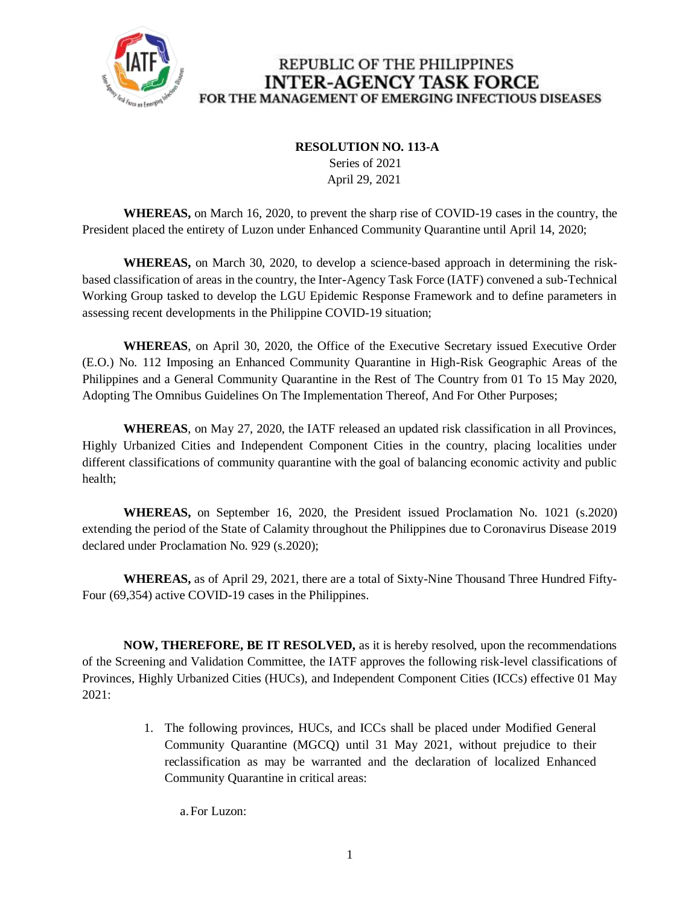

### **RESOLUTION NO. 113-A**

 Series of 2021 April 29, 2021

**WHEREAS,** on March 16, 2020, to prevent the sharp rise of COVID-19 cases in the country, the President placed the entirety of Luzon under Enhanced Community Quarantine until April 14, 2020;

**WHEREAS,** on March 30, 2020, to develop a science-based approach in determining the riskbased classification of areas in the country, the Inter-Agency Task Force (IATF) convened a sub-Technical Working Group tasked to develop the LGU Epidemic Response Framework and to define parameters in assessing recent developments in the Philippine COVID-19 situation;

**WHEREAS**, on April 30, 2020, the Office of the Executive Secretary issued Executive Order (E.O.) No. 112 Imposing an Enhanced Community Quarantine in High-Risk Geographic Areas of the Philippines and a General Community Quarantine in the Rest of The Country from 01 To 15 May 2020, Adopting The Omnibus Guidelines On The Implementation Thereof, And For Other Purposes;

**WHEREAS**, on May 27, 2020, the IATF released an updated risk classification in all Provinces, Highly Urbanized Cities and Independent Component Cities in the country, placing localities under different classifications of community quarantine with the goal of balancing economic activity and public health;

**WHEREAS,** on September 16, 2020, the President issued Proclamation No. 1021 (s.2020) extending the period of the State of Calamity throughout the Philippines due to Coronavirus Disease 2019 declared under Proclamation No. 929 (s.2020);

**WHEREAS,** as of April 29, 2021, there are a total of Sixty-Nine Thousand Three Hundred Fifty-Four (69,354) active COVID-19 cases in the Philippines.

**NOW, THEREFORE, BE IT RESOLVED,** as it is hereby resolved, upon the recommendations of the Screening and Validation Committee, the IATF approves the following risk-level classifications of Provinces, Highly Urbanized Cities (HUCs), and Independent Component Cities (ICCs) effective 01 May 2021:

> 1. The following provinces, HUCs, and ICCs shall be placed under Modified General Community Quarantine (MGCQ) until 31 May 2021, without prejudice to their reclassification as may be warranted and the declaration of localized Enhanced Community Quarantine in critical areas:

a.For Luzon: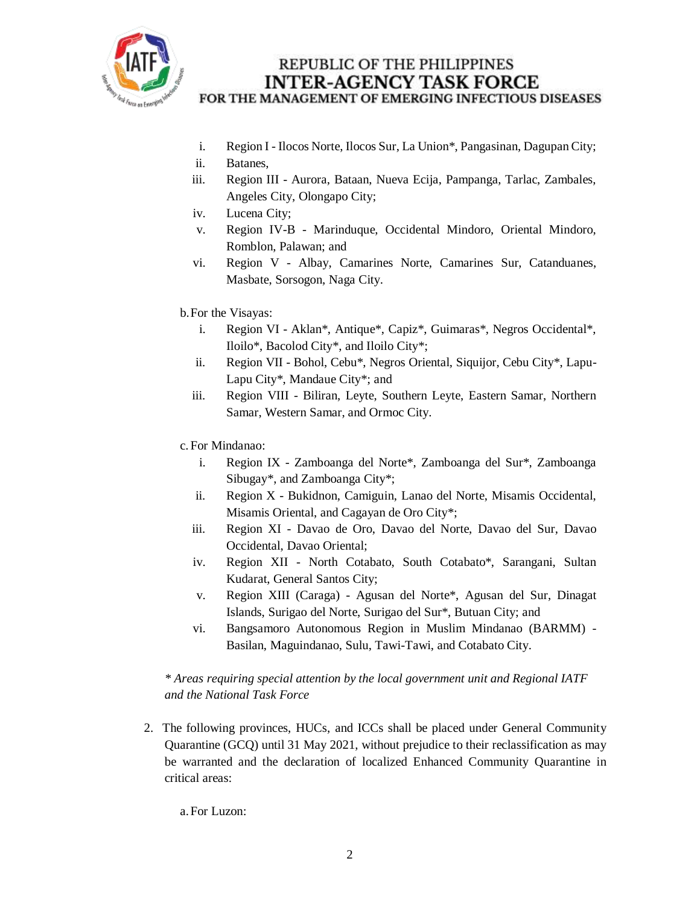

- i. Region I Ilocos Norte, Ilocos Sur, La Union\*, Pangasinan, Dagupan City;
- ii. Batanes,
- iii. Region III Aurora, Bataan, Nueva Ecija, Pampanga, Tarlac, Zambales, Angeles City, Olongapo City;
- iv. Lucena City;
- v. Region IV-B Marinduque, Occidental Mindoro, Oriental Mindoro, Romblon, Palawan; and
- vi. Region V Albay, Camarines Norte, Camarines Sur, Catanduanes, Masbate, Sorsogon, Naga City.

#### b.For the Visayas:

- i. Region VI Aklan\*, Antique\*, Capiz\*, Guimaras\*, Negros Occidental\*, Iloilo\*, Bacolod City\*, and Iloilo City\*;
- ii. Region VII Bohol, Cebu\*, Negros Oriental, Siquijor, Cebu City\*, Lapu-Lapu City\*, Mandaue City\*; and
- iii. Region VIII Biliran, Leyte, Southern Leyte, Eastern Samar, Northern Samar, Western Samar, and Ormoc City.
- c. For Mindanao:
	- i. Region IX Zamboanga del Norte\*, Zamboanga del Sur\*, Zamboanga Sibugay\*, and Zamboanga City\*;
	- ii. Region X Bukidnon, Camiguin, Lanao del Norte, Misamis Occidental, Misamis Oriental, and Cagayan de Oro City\*;
	- iii. Region XI Davao de Oro, Davao del Norte, Davao del Sur, Davao Occidental, Davao Oriental;
	- iv. Region XII North Cotabato, South Cotabato\*, Sarangani, Sultan Kudarat, General Santos City;
	- v. Region XIII (Caraga) Agusan del Norte\*, Agusan del Sur, Dinagat Islands, Surigao del Norte, Surigao del Sur\*, Butuan City; and
	- vi. Bangsamoro Autonomous Region in Muslim Mindanao (BARMM) Basilan, Maguindanao, Sulu, Tawi-Tawi, and Cotabato City.

#### *\* Areas requiring special attention by the local government unit and Regional IATF and the National Task Force*

2. The following provinces, HUCs, and ICCs shall be placed under General Community Quarantine (GCQ) until 31 May 2021, without prejudice to their reclassification as may be warranted and the declaration of localized Enhanced Community Quarantine in critical areas:

a.For Luzon: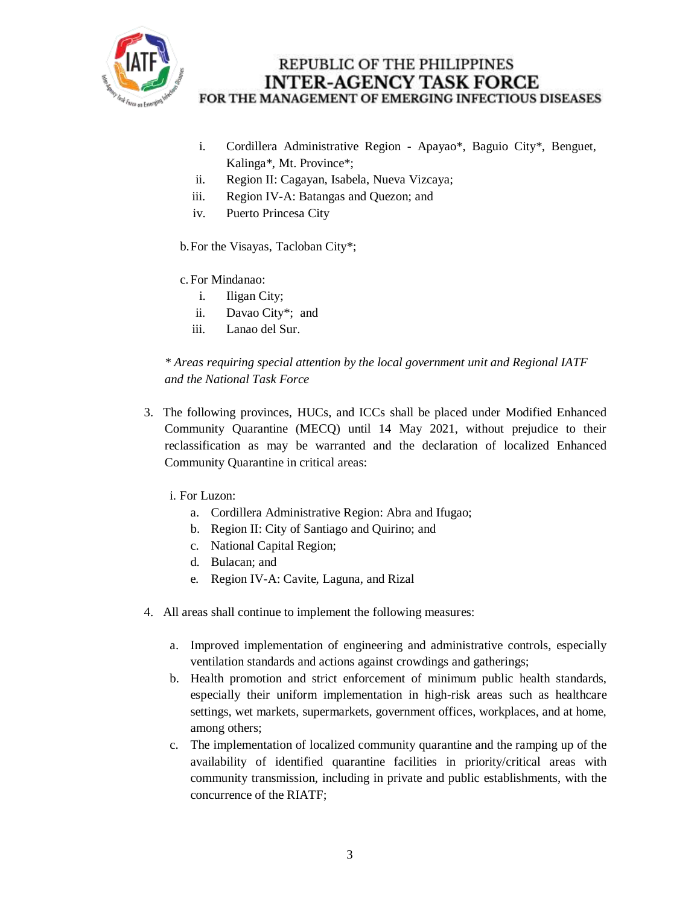

- i. Cordillera Administrative Region Apayao\*, Baguio City\*, Benguet, Kalinga\*, Mt. Province\*;
- ii. Region II: Cagayan, Isabela, Nueva Vizcaya;
- iii. Region IV-A: Batangas and Quezon; and
- iv. Puerto Princesa City

b.For the Visayas, Tacloban City\*;

- c. For Mindanao:
	- i. Iligan City;
	- ii. Davao City\*; and
	- iii. Lanao del Sur.

*\* Areas requiring special attention by the local government unit and Regional IATF and the National Task Force*

3. The following provinces, HUCs, and ICCs shall be placed under Modified Enhanced Community Quarantine (MECQ) until 14 May 2021, without prejudice to their reclassification as may be warranted and the declaration of localized Enhanced Community Quarantine in critical areas:

i. For Luzon:

- a. Cordillera Administrative Region: Abra and Ifugao;
- b. Region II: City of Santiago and Quirino; and
- c. National Capital Region;
- d. Bulacan; and
- e. Region IV-A: Cavite, Laguna, and Rizal
- 4. All areas shall continue to implement the following measures:
	- a. Improved implementation of engineering and administrative controls, especially ventilation standards and actions against crowdings and gatherings;
	- b. Health promotion and strict enforcement of minimum public health standards, especially their uniform implementation in high-risk areas such as healthcare settings, wet markets, supermarkets, government offices, workplaces, and at home, among others;
	- c. The implementation of localized community quarantine and the ramping up of the availability of identified quarantine facilities in priority/critical areas with community transmission, including in private and public establishments, with the concurrence of the RIATF;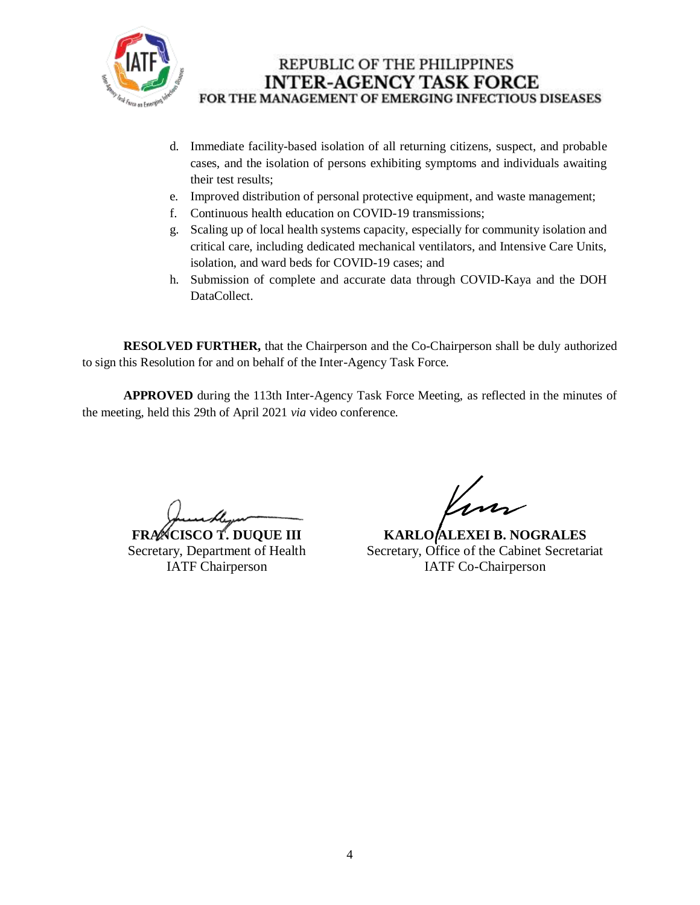

- d. Immediate facility-based isolation of all returning citizens, suspect, and probable cases, and the isolation of persons exhibiting symptoms and individuals awaiting their test results;
- e. Improved distribution of personal protective equipment, and waste management;
- f. Continuous health education on COVID-19 transmissions;
- g. Scaling up of local health systems capacity, especially for community isolation and critical care, including dedicated mechanical ventilators, and Intensive Care Units, isolation, and ward beds for COVID-19 cases; and
- h. Submission of complete and accurate data through COVID-Kaya and the DOH DataCollect.

**RESOLVED FURTHER,** that the Chairperson and the Co-Chairperson shall be duly authorized to sign this Resolution for and on behalf of the Inter-Agency Task Force.

**APPROVED** during the 113th Inter-Agency Task Force Meeting, as reflected in the minutes of the meeting, held this 29th of April 2021 *via* video conference.

**FRANCISCO T. DUQUE III** Secretary, Department of Health IATF Chairperson

**KARLO ALEXEI B. NOGRALES** Secretary, Office of the Cabinet Secretariat IATF Co-Chairperson